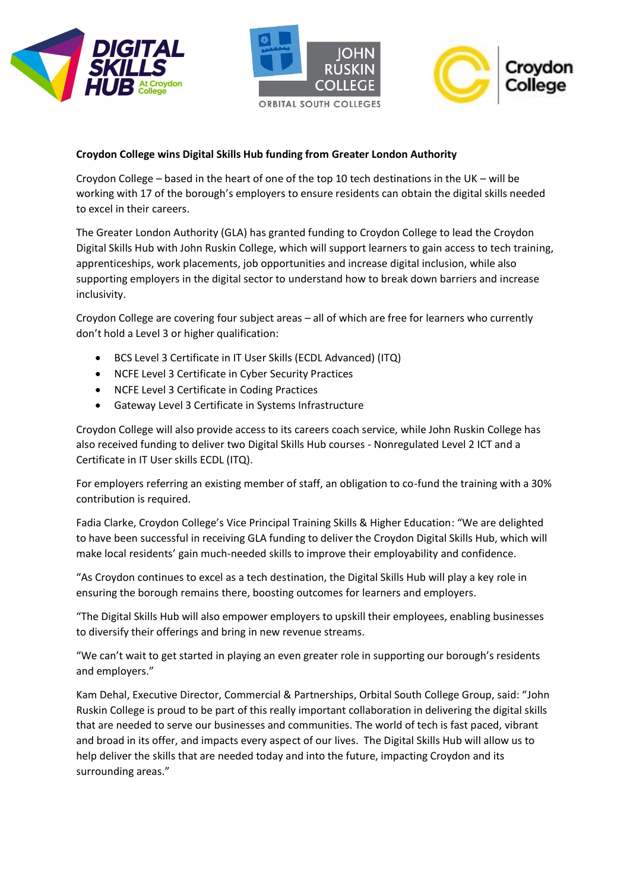





# **Croydon College wins Digital Skills Hub funding from Greater London Authority**

Croydon College – based in the heart of one of the top 10 tech destinations in the UK – will be working with 17 of the borough's employers to ensure residents can obtain the digital skills needed to excel in their careers.

The Greater London Authority (GLA) has granted funding to Croydon College to lead the Croydon Digital Skills Hub with John Ruskin College, which will support learners to gain access to tech training, apprenticeships, work placements, job opportunities and increase digital inclusion, while also supporting employers in the digital sector to understand how to break down barriers and increase inclusivity.

Croydon College are covering four subject areas – all of which are free for learners who currently don't hold a Level 3 or higher qualification:

- BCS Level 3 Certificate in IT User Skills (ECDL Advanced) (ITQ)
- NCFE Level 3 Certificate in Cyber Security Practices
- NCFE Level 3 Certificate in Coding Practices
- Gateway Level 3 Certificate in Systems Infrastructure

Croydon College will also provide access to its careers coach service, while John Ruskin College has also received funding to deliver two Digital Skills Hub courses - Nonregulated Level 2 ICT and a Certificate in IT User skills ECDL (ITQ).

For employers referring an existing member of staff, an obligation to co-fund the training with a 30% contribution is required.

Fadia Clarke, Croydon College's Vice Principal Training Skills & Higher Education: "We are delighted to have been successful in receiving GLA funding to deliver the Croydon Digital Skills Hub, which will make local residents' gain much-needed skills to improve their employability and confidence.

"As Croydon continues to excel as a tech destination, the Digital Skills Hub will play a key role in ensuring the borough remains there, boosting outcomes for learners and employers.

"The Digital Skills Hub will also empower employers to upskill their employees, enabling businesses to diversify their offerings and bring in new revenue streams.

"We can't wait to get started in playing an even greater role in supporting our borough's residents and employers."

Kam Dehal, Executive Director, Commercial & Partnerships, Orbital South College Group, said: "John Ruskin College is proud to be part of this really important collaboration in delivering the digital skills that are needed to serve our businesses and communities. The world of tech is fast paced, vibrant and broad in its offer, and impacts every aspect of our lives. The Digital Skills Hub will allow us to help deliver the skills that are needed today and into the future, impacting Croydon and its surrounding areas."